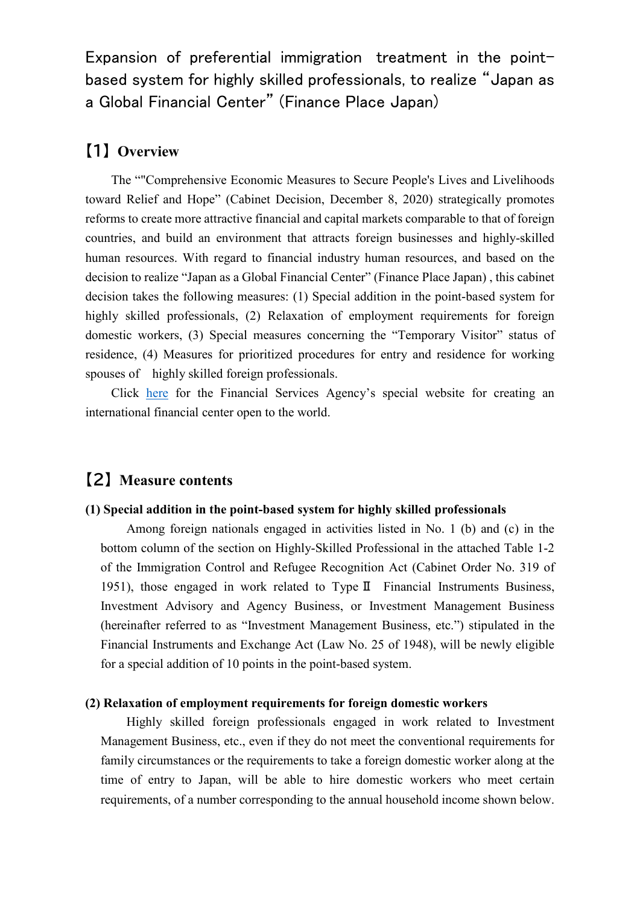Expansion of preferential immigration treatment in the pointbased system for highly skilled professionals, to realize "Japan as a Global Financial Center" (Finance Place Japan)

# 【1】 **Overview**

The ""Comprehensive Economic Measures to Secure People's Lives and Livelihoods toward Relief and Hope" (Cabinet Decision, December 8, 2020) strategically promotes reforms to create more attractive financial and capital markets comparable to that of foreign countries, and build an environment that attracts foreign businesses and highly-skilled human resources. With regard to financial industry human resources, and based on the decision to realize "Japan as a Global Financial Center" (Finance Place Japan) , this cabinet decision takes the following measures: (1) Special addition in the point-based system for highly skilled professionals, (2) Relaxation of employment requirements for foreign domestic workers, (3) Special measures concerning the "Temporary Visitor" status of residence, (4) Measures for prioritized procedures for entry and residence for working spouses of highly skilled foreign professionals.

Click here for the Financial Services Agency's special website for creating an international financial center open to the world.

## 【2】 **Measure contents**

#### **(1) Special addition in the point-based system for highly skilled professionals**

Among foreign nationals engaged in activities listed in No. 1 (b) and (c) in the bottom column of the section on Highly-Skilled Professional in the attached Table 1-2 of the Immigration Control and Refugee Recognition Act (Cabinet Order No. 319 of 1951), those engaged in work related to TypeⅡ Financial Instruments Business, Investment Advisory and Agency Business, or Investment Management Business (hereinafter referred to as "Investment Management Business, etc.") stipulated in the Financial Instruments and Exchange Act (Law No. 25 of 1948), will be newly eligible for a special addition of 10 points in the point-based system.

#### **(2) Relaxation of employment requirements for foreign domestic workers**

Highly skilled foreign professionals engaged in work related to Investment Management Business, etc., even if they do not meet the conventional requirements for family circumstances or the requirements to take a foreign domestic worker along at the time of entry to Japan, will be able to hire domestic workers who meet certain requirements, of a number corresponding to the annual household income shown below.